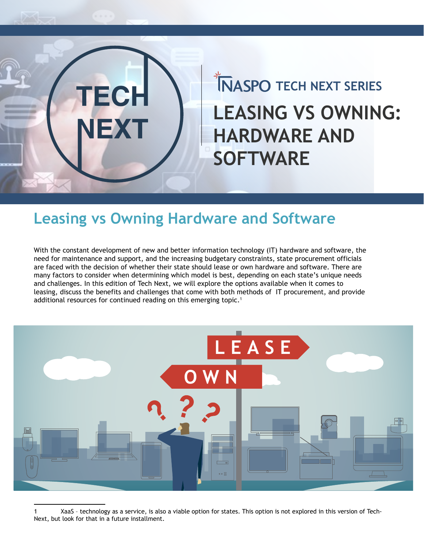

# **TECH NEXT SERIES LEASING VS OWNING: HARDWARE AND SOFTWARE**

#### **Leasing vs Owning Hardware and Software**

With the constant development of new and better information technology (IT) hardware and software, the need for maintenance and support, and the increasing budgetary constraints, state procurement officials are faced with the decision of whether their state should lease or own hardware and software. There are many factors to consider when determining which model is best, depending on each state's unique needs and challenges. In this edition of Tech Next, we will explore the options available when it comes to leasing, discuss the benefits and challenges that come with both methods of IT procurement, and provide additional resources for continued reading on this emerging topic.<sup>1</sup>



1 XaaS – technology as a service, is also a viable option for states. This option is not explored in this version of Tech-Next, but look for that in a future installment.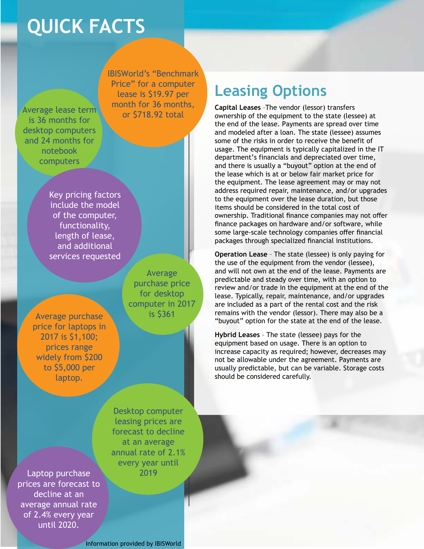## **QUICK FACTS**

Average lease term is 36 months for desktop computers and 24 months for notebook computers

IBISWorld's "Benchmark Price" for a computer lease is \$19.97 per month for 36 months, or \$718.92 total

Key pricing factors include the model of the computer, functionality, length of lease, and additional services requested

Average purchase is \$361 price for laptops in 2017 is \$1,100; prices range widely from \$200 to \$5,000 per laptop.

Average purchase price for desktop computer in 2017 **Leasing Options**

**Capital Leases** –The vendor (lessor) transfers ownership of the equipment to the state (lessee) at the end of the lease. Payments are spread over time and modeled after a loan. The state (lessee) assumes some of the risks in order to receive the benefit of usage. The equipment is typically capitalized in the IT department's financials and depreciated over time, and there is usually a "buyout" option at the end of the lease which is at or below fair market price for the equipment. The lease agreement may or may not address required repair, maintenance, and/or upgrades to the equipment over the lease duration, but those items should be considered in the total cost of ownership. Traditional finance companies may not offer finance packages on hardware and/or software, while some large-scale technology companies offer financial packages through specialized financial institutions.

**Operation Lease** – The state (lessee) is only paying for the use of the equipment from the vendor (lessee), and will not own at the end of the lease. Payments are predictable and steady over time, with an option to review and/or trade in the equipment at the end of the lease. Typically, repair, maintenance, and/or upgrades are included as a part of the rental cost and the risk remains with the vendor (lessor). There may also be a "buyout" option for the state at the end of the lease.

**Hybrid Leases** – The state (lessee) pays for the equipment based on usage. There is an option to increase capacity as required; however, decreases may not be allowable under the agreement. Payments are usually predictable, but can be variable. Storage costs should be considered carefully.

Desktop computer leasing prices are forecast to decline at an average annual rate of 2.1% every year until

Laptop purchase 2019 prices are forecast to decline at an average annual rate of 2.4% every year until 2020.

Information provided by IBISWorld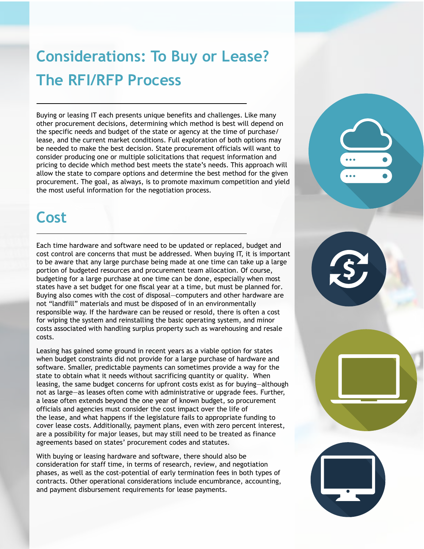## **Considerations: To Buy or Lease? The RFI/RFP Process**

Buying or leasing IT each presents unique benefits and challenges. Like many other procurement decisions, determining which method is best will depend on the specific needs and budget of the state or agency at the time of purchase/ lease, and the current market conditions. Full exploration of both options may be needed to make the best decision. State procurement officials will want to consider producing one or multiple solicitations that request information and pricing to decide which method best meets the state's needs. This approach will allow the state to compare options and determine the best method for the given procurement. The goal, as always, is to promote maximum competition and yield the most useful information for the negotiation process.

#### **Cost**

Each time hardware and software need to be updated or replaced, budget and cost control are concerns that must be addressed. When buying IT, it is important to be aware that any large purchase being made at one time can take up a large portion of budgeted resources and procurement team allocation. Of course, budgeting for a large purchase at one time can be done, especially when most states have a set budget for one fiscal year at a time, but must be planned for. Buying also comes with the cost of disposal—computers and other hardware are not "landfill" materials and must be disposed of in an environmentally responsible way. If the hardware can be reused or resold, there is often a cost for wiping the system and reinstalling the basic operating system, and minor costs associated with handling surplus property such as warehousing and resale costs.

Leasing has gained some ground in recent years as a viable option for states when budget constraints did not provide for a large purchase of hardware and software. Smaller, predictable payments can sometimes provide a way for the state to obtain what it needs without sacrificing quantity or quality. When leasing, the same budget concerns for upfront costs exist as for buying—although not as large—as leases often come with administrative or upgrade fees. Further, a lease often extends beyond the one year of known budget, so procurement officials and agencies must consider the cost impact over the life of the lease, and what happens if the legislature fails to appropriate funding to cover lease costs. Additionally, payment plans, even with zero percent interest, are a possibility for major leases, but may still need to be treated as finance agreements based on states' procurement codes and statutes.

With buying or leasing hardware and software, there should also be consideration for staff time, in terms of research, review, and negotiation phases, as well as the cost-potential of early termination fees in both types of contracts. Other operational considerations include encumbrance, accounting, and payment disbursement requirements for lease payments.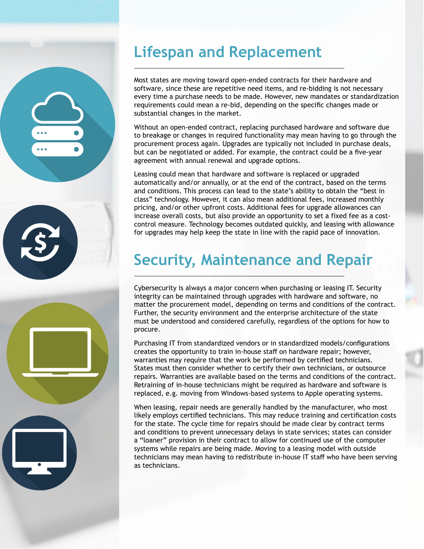### **Lifespan and Replacement**

Most states are moving toward open-ended contracts for their hardware and software, since these are repetitive need items, and re-bidding is not necessary every time a purchase needs to be made. However, new mandates or standardization requirements could mean a re-bid, depending on the specific changes made or substantial changes in the market.

Without an open-ended contract, replacing purchased hardware and software due to breakage or changes in required functionality may mean having to go through the procurement process again. Upgrades are typically not included in purchase deals, but can be negotiated or added. For example, the contract could be a five-year agreement with annual renewal and upgrade options.

Leasing could mean that hardware and software is replaced or upgraded automatically and/or annually, or at the end of the contract, based on the terms and conditions. This process can lead to the state's ability to obtain the "best in class" technology. However, it can also mean additional fees, increased monthly pricing, and/or other upfront costs. Additional fees for upgrade allowances can increase overall costs, but also provide an opportunity to set a fixed fee as a costcontrol measure. Technology becomes outdated quickly, and leasing with allowance for upgrades may help keep the state in line with the rapid pace of innovation.

### **Security, Maintenance and Repair**

Cybersecurity is always a major concern when purchasing or leasing IT. Security integrity can be maintained through upgrades with hardware and software, no matter the procurement model, depending on terms and conditions of the contract. Further, the security environment and the enterprise architecture of the state must be understood and considered carefully, regardless of the options for how to procure.

Purchasing IT from standardized vendors or in standardized models/configurations creates the opportunity to train in-house staff on hardware repair; however, warranties may require that the work be performed by certified technicians. States must then consider whether to certify their own technicians, or outsource repairs. Warranties are available based on the terms and conditions of the contract. Retraining of in-house technicians might be required as hardware and software is replaced, e.g. moving from Windows-based systems to Apple operating systems.

When leasing, repair needs are generally handled by the manufacturer, who most likely employs certified technicians. This may reduce training and certification costs for the state. The cycle time for repairs should be made clear by contract terms and conditions to prevent unnecessary delays in state services; states can consider a "loaner" provision in their contract to allow for continued use of the computer systems while repairs are being made. Moving to a leasing model with outside technicians may mean having to redistribute in-house IT staff who have been serving as technicians.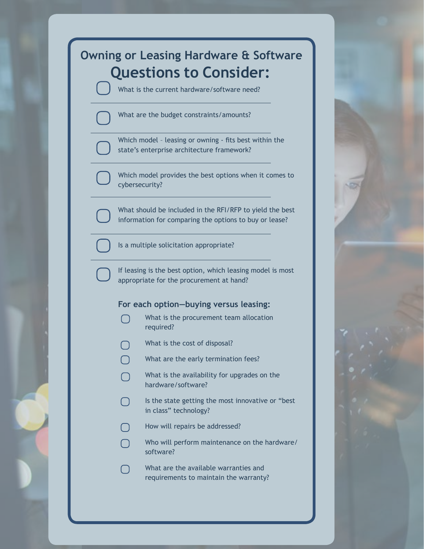### **Owning or Leasing Hardware & Software Questions to Consider:**

What is the current hardware/software need?

What are the budget constraints/amounts?

Which model – leasing or owning - fits best within the state's enterprise architecture framework?

Which model provides the best options when it comes to cybersecurity?

What should be included in the RFI/RFP to yield the best information for comparing the options to buy or lease?



Is a multiple solicitation appropriate?

If leasing is the best option, which leasing model is most appropriate for the procurement at hand?

#### **For each option—buying versus leasing:**

- What is the procurement team allocation required?
	- What is the cost of disposal?
- What are the early termination fees?
- What is the availability for upgrades on the hardware/software?
- Is the state getting the most innovative or "best in class" technology?
- How will repairs be addressed?
- Who will perform maintenance on the hardware/ software?
- What are the available warranties and requirements to maintain the warranty?